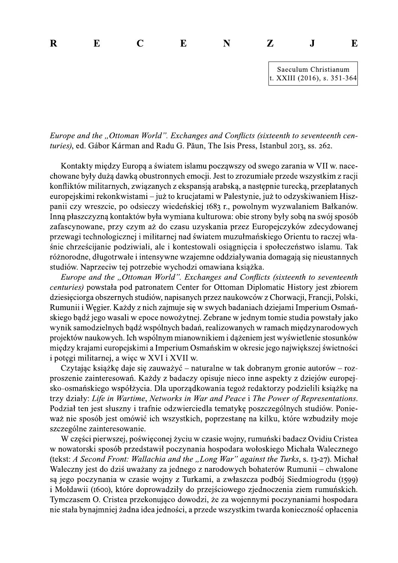Saeculum Christianum  $R$   $E$   $C$   $E$   $N$   $Z$   $J$   $E$ 

d. Gabor Karman and Radu G. Paun, The Isis Press, Istanbul 2013, ss. 262.

Europe and the "Ottoman World". Exchanges and Conflicts (sixteenth to seventeenth centuries), ed. Gábor Kárman and Radu G. Pāun, The Isis Press, Istanbul 2013, ss. 262.<br>
Kontakty między Europą a światem islamu począwszy od Kontakty między Europą a swiatem islamu począwszy od swego zarania w VII w. nacechowane były duzą dawką obustronnych emocji. Jest to zrozumiałe przede wszystkim z racji konfliktow militarnych, związanych z ekspansją arabską, a następnie turecką, przeplatanych europejskimi rekonkwistami – juz to krucjatami w Palestynie, juz to odzyskiwaniem Hiszpanii czy wreszcie, po odsieczy wiedenskiej 1683 r., powolnym wyzwalaniem Bałkanow. Inną płaszczyzną kontaktow była wymiana kulturowa: obie strony były sobą na swoj sposob zafascynowane, przy czym az do czasu uzyskania przez Europejczykow zdecydowanej przewagi technologicznej i militarnej nad swiatem muzułmańskiego Orientu to raczej własnie chrzescijanie podziwiali, ale i kontestowali osiągnięcia i społeczenstwo islamu. Tak roznorodne, długotrwałe i intensywne wzajemne oddziaływania domagają się nieustannych studiow. Naprzeciw tej potrzebie v

europeysamm rekonkwistam – Juz to krucjatam w Peatesynto, juz to oozyskiwaniem Fisz-<br>panii czy wreszcie, po odsieczy wieleńskiej 1683 r., powolnym wyzwalaniem Bałkanów.<br>Inną płaszczyzną kontaktów była wymiana kulturowa: ob onatem Center for Ottoman Diplomatic History jest zbiorem dziesięciorga obszernych studiow, napisanych przez naukowcow z Chorwacji, Francji, Polski, Rumunii 1 Węgier. Kazdy z nich zajmuje się w swych badaniach dziejami Imperium Osmanskiego bądz jego wasali w epoce nowozytnej. Zebrane w jednym tomie studia powstały jako wynik samodzielnych bądz wspolnych badan, realizowanych w ramach międzynarodowych projektow naukowych. Ich wspolnym mianownikiem i dązeniem jest wyswietlenie stosunkow między krajami europejskimi a Imperium Osmanskim w okresie jego największej swietności i potęgi militarnej, a więc w XVI i XVII w.

Czytając książkę daje się zauważyc – naturalne w tak dobranym gronie autorów – rozproszenie zainteresowan. Kazdy z badaczy opisuje nieco inne aspekty z dziejow europejsko-osmanskiego wspołzycia. Dla uporządkowania tegoz redaktorzy podzielili ksiązkę na trzy działy: Life in Wartime, Networks in War and Peace i The Power of Representations. Skego opaz jego wasali w epoce nowozytnej. Zebrane w jednym tomie studai powstały jako<br>
projektów naukowych. Ich wspólnych badai, realizowanych w ramach międzynarodowych<br>
projektów naukowych. Ich wspólnym mianownikiem i dą n jest słuszny i trafnie odzwierciedla tematykę poszczegolnych studiow. Poniewaz nie sposob jest omowic ich wszystkich, poprzestanę na kilku, które wzbudziły moje szczególne zainteresowanie.  $\ddot{\phantom{0}}$ 

W części pierwszej, poświęconej zyciu w czasie wojny, rumunski badacz Ovidiu Cristea w nowatorski sposob przedstawił poczynania hospodara wołoskiego Michała Walecznego (tekst: A Second Front: Wallachia and the "Long War" against the Turks, s. 13-27). Michał proszenie zainteresowan. Kazdy z badaczy opisuje nieco inne aspekty z dziejow europejsko-osmańskiego współżycia. Dla uporządkowania tegoż redaktorzy podzielili książkę na trzy działy: Lije in Wartime, Networks in War and P czny jest do dzis uwazany za jednego z narodowych bohaterow Rumunii – chwalone są jego poczynania w czasie wojny z Turkami, a zwłaszcza podboj Siedmiogrodu (1599) i Mołdawii (1600), które doprowadziły do przejsciowego zjednoczenia ziem rumunskich. Tymczasem O. Cristea przekonująco dowodzi, że za wojennymi poczynaniami hospodara nie stała bynajmniej zadna idea jedności, a przede wszystkim twarda konieczność opłacenia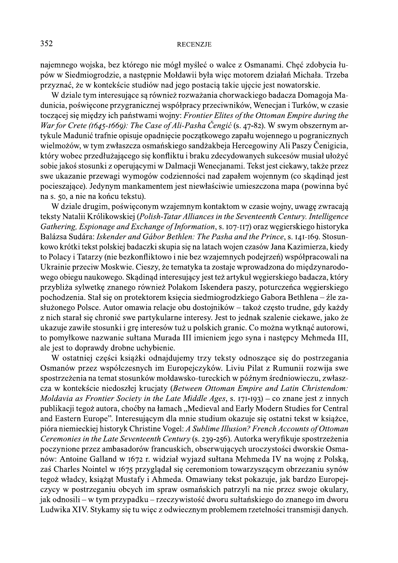najemnego wojska, bez którego nie mógł myśleć o walce z Osmanami. Chęć zdobycia łupów w Siedmiogrodzie, a następnie Mołdawii była więc motorem działań Michała. Trzeba przyznać, że w kontekście studiów nad jego postacia takie ujęcie jest nowatorskie.

W dziale tym interesujące są również rozważania chorwackiego badacza Domagoja Madunicia, poświęcone przygranicznej współpracy przeciwników, Wenecjan i Turków, w czasie toczącej się między ich państwami wojny: Frontier Elites of the Ottoman Empire during the War for Crete (1645-1669): The Case of Ali-Pasha Čengić (s. 47-82). W swym obszernym artykule Madunić trafnie opisuje opadniecie początkowego zapału wojennego u pogranicznych wielmożów, w tym zwłaszcza osmańskiego sandżakbeja Hercegowiny Ali Paszy Čenigicia, który wobec przedłużającego się konfliktu i braku zdecydowanych sukcesów musiał ułożyć sobie jakoś stosunki z operującymi w Dalmacji Wenecjanami. Tekst jest ciekawy, także przez swe ukazanie przewagi wymogów codzienności nad zapałem wojennym (co skądinąd jest pocieszające). Jedynym mankamentem jest niewłaściwie umieszczona mapa (powinna być na s. 50, a nie na końcu tekstu).

W dziale drugim, poświęconym wzajemnym kontaktom w czasie wojny, uwagę zwracają teksty Natalii Królikowskiej (Polish-Tatar Alliances in the Seventeenth Century. Intelligence Gathering, Espionage and Exchange of Information, s. 107-117) oraz wegierskiego historyka Balázsa Sudára: Iskender and Gábor Bethlen: The Pasha and the Prince, s. 141-169. Stosunkowo krótki tekst polskiej badaczki skupia się na latach wojen czasów Jana Kazimierza, kiedy to Polacy i Tatarzy (nie bezkonfliktowo i nie bez wzajemnych podejrzeń) współpracowali na Ukrainie przeciw Moskwie. Cieszy, że tematyka ta zostaje wprowadzona do międzynarodowego obiegu naukowego. Skądinąd interesujący jest też artykuł węgierskiego badacza, który przybliża sylwetkę znanego również Polakom Iskendera paszy, poturczeńca węgierskiego pochodzenia. Stał się on protektorem księcia siedmiogrodzkiego Gabora Bethlena – źle zasłużonego Polsce. Autor omawia relacje obu dostojników – takoż często trudne, gdy każdy z nich starał się chronić swe partykularne interesy. Jest to jednak szalenie ciekawe, jako że ukazuje zawiłe stosunki i grę interesów tuż u polskich granic. Co można wytknąć autorowi, to pomyłkowe nazwanie sułtana Murada III imieniem jego syna i następcy Mehmeda III, ale jest to doprawdy drobne uchybienie.

W ostatniej części książki odnajdujemy trzy teksty odnoszące się do postrzegania Osmanów przez współczesnych im Europejczyków. Liviu Pilat z Rumunii rozwija swe spostrzeżenia na temat stosunków mołdawsko-tureckich w późnym średniowieczu, zwłaszcza w kontekście niedoszłej krucjaty (Between Ottoman Empire and Latin Christendom: Moldavia as Frontier Society in the Late Middle Ages, s. 171-193) – co znane jest z innych publikacji tegoż autora, choćby na łamach "Medieval and Early Modern Studies for Central and Eastern Europe". Interesującym dla mnie studium okazuje się ostatni tekst w książce, pióra niemieckiej historyk Christine Vogel: A Sublime Illusion? French Accounts of Ottoman Ceremonies in the Late Seventeenth Century (s. 239-256). Autorka weryfikuje spostrzeżenia poczynione przez ambasadorów francuskich, obserwujących uroczystości dworskie Osmanów: Antoine Galland w 1672 r. widział wyjazd sułtana Mehmeda IV na wojnę z Polską, zaś Charles Nointel w 1675 przyglądał się ceremoniom towarzyszącym obrzezaniu synów tegoż władcy, książąt Mustafy i Ahmeda. Omawiany tekst pokazuje, jak bardzo Europejczycy w postrzeganiu obcych im spraw osmańskich patrzyli na nie przez swoje okulary, jak odnosili – w tym przypadku – rzeczywistość dworu sułtańskiego do znanego im dworu Ludwika XIV. Stykamy się tu więc z odwiecznym problemem rzetelności transmisji danych.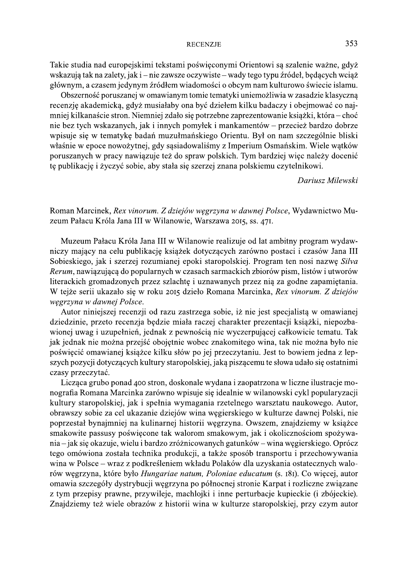Takie studia nad europejskimi tekstami poświęconymi Orientowi są szalenie ważne, gdyż wskazują tak na zalety, jak i – nie zawsze oczywiste – wady tego typu źródeł, będących wciąż głównym, a czasem jedynym źródłem wiadomości o obcym nam kulturowo świecie islamu.

Obszerność poruszanej w omawianym tomie tematyki uniemożliwia w zasadzie klasyczną recenzję akademicką, gdyż musiałaby ona być dziełem kilku badaczy i obejmować co najmniej kilkanaście stron. Niemniej zdało się potrzebne zaprezentowanie książki, która – choć nie bez tych wskazanych, jak i innych pomyłek i mankamentów – przecież bardzo dobrze wpisuje się w tematykę badań muzułmańskiego Orientu. Był on nam szczególnie bliski właśnie w epoce nowożytnej, gdy sąsiadowaliśmy z Imperium Osmańskim. Wiele wątków poruszanych w pracy nawiązuje też do spraw polskich. Tym bardziej więc należy docenić tę publikację i życzyć sobie, aby stała się szerzej znana polskiemu czytelnikowi.

Dariusz Milewski

Roman Marcinek, Rex vinorum. Z dziejów węgrzyna w dawnej Polsce, Wydawnictwo Muzeum Pałacu Króla Jana III w Wilanowie, Warszawa 2015, ss. 471.

Muzeum Pałacu Króla Jana III w Wilanowie realizuje od lat ambitny program wydawniczy mający na celu publikację książek dotyczących zarówno postaci i czasów Jana III Sobieskiego, jak i szerzej rozumianej epoki staropolskiej. Program ten nosi nazwę Silva Rerum, nawiązującą do popularnych w czasach sarmackich zbiorów pism, listów i utworów literackich gromadzonych przez szlachtę i uznawanych przez nią za godne zapamiętania. W tejże serii ukazało się w roku 2015 dzieło Romana Marcinka, Rex vinorum. Z dziejów węgrzyna w dawnej Polsce.

Autor niniejszej recenzji od razu zastrzega sobie, iż nie jest specjalistą w omawianej dziedzinie, przeto recenzja będzie miała raczej charakter prezentacji książki, niepozbawionej uwag i uzupełnień, jednak z pewnością nie wyczerpującej całkowicie tematu. Tak jak jednak nie można przejść obojętnie wobec znakomitego wina, tak nie można było nie poświęcić omawianej książce kilku słów po jej przeczytaniu. Jest to bowiem jedna z lepszych pozycji dotyczących kultury staropolskiej, jaką piszącemu te słowa udało się ostatnimi czasy przeczytać.

Licząca grubo ponad 400 stron, doskonale wydana i zaopatrzona w liczne ilustracje monografia Romana Marcinka zarówno wpisuje się idealnie w wilanowski cykl popularyzacji kultury staropolskiej, jak i spełnia wymagania rzetelnego warsztatu naukowego. Autor, obrawszy sobie za cel ukazanie dziejów wina węgierskiego w kulturze dawnej Polski, nie poprzestał bynajmniej na kulinarnej historii węgrzyna. Owszem, znajdziemy w książce smakowite passusy poświęcone tak walorom smakowym, jak i okolicznościom spożywania – jak się okazuje, wielu i bardzo zróżnicowanych gatunków – wina węgierskiego. Oprócz tego omówiona została technika produkcji, a także sposób transportu i przechowywania wina w Polsce - wraz z podkreśleniem wkładu Polaków dla uzyskania ostatecznych walorów węgrzyna, które było Hungariae natum, Poloniae educatum (s. 181). Co więcej, autor omawia szczegóły dystrybucji węgrzyna po północnej stronie Karpat i rozliczne związane z tym przepisy prawne, przywileje, machlojki i inne perturbacje kupieckie (i zbójeckie). Znajdziemy też wiele obrazów z historii wina w kulturze staropolskiej, przy czym autor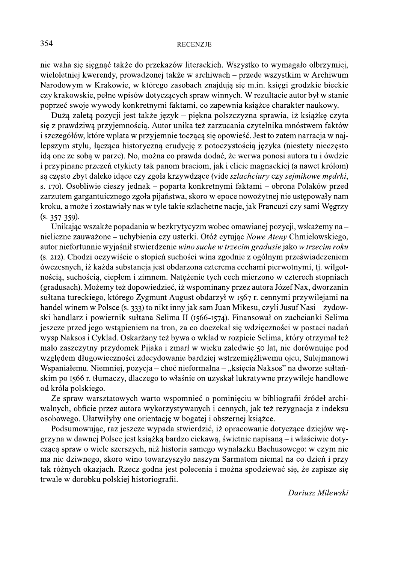nie waha się sięgnąć także do przekazów literackich. Wszystko to wymagało olbrzymiej, wieloletniej kwerendy, prowadzonej także w archiwach – przede wszystkim w Archiwum Narodowym w Krakowie, w którego zasobach znajdują się m.in. księgi grodzkie bieckie czy krakowskie, pełne wpisów dotyczących spraw winnych. W rezultacie autor był w stanie poprzeć swoje wywody konkretnymi faktami, co zapewnia książce charakter naukowy.

Dużą zaletą pozycji jest także język – piękna polszczyzna sprawia, iż książkę czyta się z prawdziwą przyjemnością. Autor unika też zarzucania czytelnika mnóstwem faktów i szczegółów, które wplata w przyjemnie toczącą się opowieść. Jest to zatem narracja w najlepszym stylu, łącząca historyczną erudycję z potoczystością języka (niestety nieczęsto ida one ze soba w parze). No, można co prawda dodać, że werwa ponosi autora tu i ówdzie i przypinane przezeń etykiety tak panom braciom, jak i elicie magnackiej (a nawet królom) są często zbyt daleko idące czy zgoła krzywdzące (vide szlachciury czy sejmikowe mędrki, s. 170). Osobliwie cieszy jednak – poparta konkretnymi faktami – obrona Polaków przed zarzutem gargantuicznego zgoła pijaństwa, skoro w epoce nowożytnej nie ustępowały nam kroku, a może i zostawiały nas w tyle takie szlachetne nacje, jak Francuzi czy sami Węgrzy  $(s. 357 - 359).$ 

Unikając wszakże popadania w bezkrytycyzm wobec omawianej pozycji, wskażemy na – nieliczne zauważone – uchybienia czy usterki. Otóż cytując Nowe Ateny Chmielowskiego, autor niefortunnie wyjaśnił stwierdzenie wino suche w trzecim gradusie jako w trzecim roku (s. 212). Chodzi oczywiście o stopień suchości wina zgodnie z ogólnym przeświadczeniem ówczesnych, iż każda substancja jest obdarzona czterema cechami pierwotnymi, tj. wilgotnością, suchością, ciepłem i zimnem. Natężenie tych cech mierzono w czterech stopniach (gradusach). Możemy też dopowiedzieć, iż wspominany przez autora Józef Nax, dworzanin sułtana tureckiego, którego Zygmunt August obdarzył w 1567 r. cennymi przywilejami na handel winem w Polsce (s. 333) to nikt inny jak sam Juan Mikesu, czyli Jusuf Nasi – żydowski handlarz i powiernik sułtana Selima II (1566-1574). Finansował on zachcianki Selima jeszcze przed jego wstąpieniem na tron, za co doczekał się wdzięczności w postaci nadań wysp Naksos i Cyklad. Oskarżany też bywa o wkład w rozpicie Selima, który otrzymał też mało zaszczytny przydomek Pijaka i zmarł w wieku zaledwie 50 lat, nie dorównując pod względem długowieczności zdecydowanie bardziej wstrzemięźliwemu ojcu, Sulejmanowi Wspaniałemu. Niemniej, pozycja – choć nieformalna – "księcia Naksos" na dworze sułtańskim po 1566 r. tłumaczy, dlaczego to właśnie on uzyskał lukratywne przywileje handlowe od króla polskiego.

Ze spraw warsztatowych warto wspomnieć o pominięciu w bibliografii źródeł archiwalnych, obficie przez autora wykorzystywanych i cennych, jak też rezygnacja z indeksu osobowego. Ułatwiłyby one orientację w bogatej i obszernej książce.

Podsumowując, raz jeszcze wypada stwierdzić, iż opracowanie dotyczące dziejów węgrzyna w dawnej Polsce jest książką bardzo ciekawą, świetnie napisaną – i właściwie dotyczącą spraw o wiele szerszych, niż historia samego wynalazku Bachusowego: w czym nie ma nic dziwnego, skoro wino towarzyszyło naszym Sarmatom niemal na co dzień i przy tak różnych okazjach. Rzecz godna jest polecenia i można spodziewać się, że zapisze się trwale w dorobku polskiej historiografii.

354

Dariusz Milewski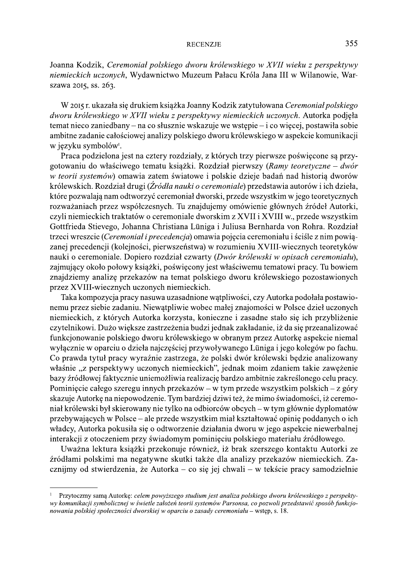Joanna Kodzik, Ceremoniał polskiego dworu królewskiego w XVII wieku z perspektywy niemieckich uczonych, Wydawnictwo Muzeum Pałacu Króla Jana III w Wilanowie, Warszawa 2015, ss. 263.

W 2015 r. ukazała się drukiem książka Joanny Kodzik zatytułowana Ceremoniał polskiego dworu królewskiego w XVII wieku z perspektywy niemieckich uczonych. Autorka podjęła temat nieco zaniedbany – na co słusznie wskazuje we wstępie – i co więcej, postawiła sobie ambitne zadanie całościowej analizy polskiego dworu królewskiego w aspekcie komunikacji w jezyku symbolów<sup>1</sup>.

Praca podzielona jest na cztery rozdziały, z których trzy pierwsze poświęcone są przygotowaniu do właściwego tematu książki. Rozdział pierwszy (Ramy teoretyczne – dwór w teorii systemów) omawia zatem światowe i polskie dzieje badań nad historią dworów królewskich. Rozdział drugi (Źródła nauki o ceremoniale) przedstawia autorów i ich dzieła, które pozwalają nam odtworzyć ceremoniał dworski, przede wszystkim w jego teoretycznych rozważaniach przez współczesnych. Tu znajdujemy omówienie głównych źródeł Autorki, czyli niemieckich traktatów o ceremoniale dworskim z XVII i XVIII w., przede wszystkim Gottfrieda Stievego, Johanna Christiana Lüniga i Juliusa Bernharda von Rohra. Rozdział trzeci wreszcie (Ceremoniał i precedencja) omawia pojęcia ceremoniału i ściśle z nim powiązanej precedencji (kolejności, pierwszeństwa) w rozumieniu XVIII-wiecznych teoretyków nauki o ceremoniale. Dopiero rozdział czwarty (Dwór królewski w opisach ceremoniału), zajmujący około połowy książki, poświęcony jest właściwemu tematowi pracy. Tu bowiem znajdziemy analizę przekazów na temat polskiego dworu królewskiego pozostawionych przez XVIII-wiecznych uczonych niemieckich.

Taka kompozycja pracy nasuwa uzasadnione wątpliwości, czy Autorka podołała postawionemu przez siebie zadaniu. Niewątpliwie wobec małej znajomości w Polsce dzieł uczonych niemieckich, z których Autorka korzysta, konieczne i zasadne stało się ich przybliżenie czytelnikowi. Dużo większe zastrzeżenia budzi jednak zakładanie, iż da się przeanalizować funkcjonowanie polskiego dworu królewskiego w obranym przez Autorkę aspekcie niemal wyłącznie w oparciu o dzieła najczęściej przywoływanego Lüniga i jego kolegów po fachu. Co prawda tytuł pracy wyraźnie zastrzega, że polski dwór królewski będzie analizowany właśnie "z perspektywy uczonych niemieckich", jednak moim zdaniem takie zawężenie bazy źródłowej faktycznie uniemożliwia realizację bardzo ambitnie zakreślonego celu pracy. Pominięcie całego szeregu innych przekazów – w tym przede wszystkim polskich – z góry skazuje Autorkę na niepowodzenie. Tym bardziej dziwi też, że mimo świadomości, iż ceremoniał królewski był skierowany nie tylko na odbiorców obcych – w tym głównie dyplomatów przebywających w Polsce – ale przede wszystkim miał kształtować opinię poddanych o ich władcy, Autorka pokusiła się o odtworzenie działania dworu w jego aspekcie niewerbalnej interakcji z otoczeniem przy świadomym pominięciu polskiego materiału źródłowego.

Uważna lektura książki przekonuje również, iż brak szerszego kontaktu Autorki ze źródłami polskimi ma negatywne skutki także dla analizy przekazów niemieckich. Zacznijmy od stwierdzenia, że Autorka – co się jej chwali – w tekście pracy samodzielnie

Przytoczmy sama Autorkę: celem powyższego studium jest analiza polskiego dworu królewskiego z perspektywy komunikacji symbolicznej w świetle założeń teorii systemów Parsonsa, co pozwoli przedstawić sposób funkcjonowania polskiej społeczności dworskiej w oparciu o zasady ceremoniału – wstep, s. 18.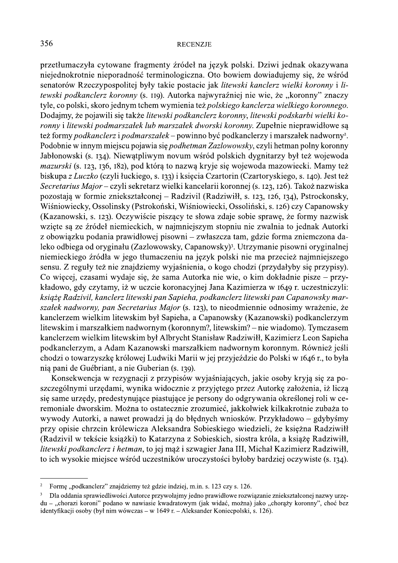przetłumaczyła cytowane fragmenty źródeł na język polski. Dziwi jednak okazywana niejednokrotnie nieporadność terminologiczna. Oto bowiem dowiadujemy się, że wśród senatorów Rzeczypospolitej były takie postacie jak litewski kanclerz wielki koronny i litewski podkanclerz koronny (s. 119). Autorka najwyraźniej nie wie, że "koronny" znaczy tyle, co polski, skoro jednym tchem wymienia też polskiego kanclerza wielkiego koronnego. Dodajmy, że pojawili się także litewski podkanclerz koronny, litewski podskarbi wielki koronny i litewski podmarszałek lub marszałek dworski koronny. Zupełnie nieprawidłowe są też formy podkanclerz i podmarszałek – powinno być podkanclerzy i marszałek nadworny?. Podobnie w innym miejscu pojawia się *podhetman Zazlowowsky*, czyli hetman polny koronny Jabłonowski (s. 134). Niewątpliwym novum wśród polskich dygnitarzy był też wojewoda mazurski (s. 123, 136, 182), pod którą to nazwą kryje się wojewoda mazowiecki. Mamy też biskupa z Luczko (czyli łuckiego, s. 133) i księcia Czartorin (Czartoryskiego, s. 140). Jest też Secretarius Major – czyli sekretarz wielki kancelarii koronnej (s. 123, 126). Takoż nazwiska pozostają w formie zniekształconej – Radzivil (Radziwiłł, s. 123, 126, 134), Pstrockonsky, Wiśniowiecky, Ossolinsky (Pstrokoński, Wiśniowiecki, Ossoliński, s. 126) czy Capanowsky (Kazanowski, s. 123). Oczywiście piszący te słowa zdaje sobie sprawę, że formy nazwisk wzięte są ze źródeł niemieckich, w najmniejszym stopniu nie zwalnia to jednak Autorki z obowiązku podania prawidłowej pisowni – zwłaszcza tam, gdzie forma zniemczona daleko odbiega od oryginału (Zazlowowsky, Capanowsky)<sup>3</sup>. Utrzymanie pisowni oryginalnej niemieckiego źródła w jego tłumaczeniu na język polski nie ma przecież najmniejszego sensu. Z reguły też nie znajdziemy wyjaśnienia, o kogo chodzi (przydałyby się przypisy). Co wiecej, czasami wydaje się, że sama Autorka nie wie, o kim dokładnie pisze – przykładowo, gdy czytamy, iż w uczcie koronacyjnej Jana Kazimierza w 1649 r. uczestniczyli: książę Radzivil, kanclerz litewski pan Sapieha, podkanclerz litewski pan Capanowsky marszałek nadworny, pan Secretarius Major (s. 123), to nieodmiennie odnosimy wrażenie, że kanclerzem wielkim litewskim był Sapieha, a Capanowsky (Kazanowski) podkanclerzym litewskim i marszałkiem nadwornym (koronnym?, litewskim? – nie wiadomo). Tymczasem kanclerzem wielkim litewskim był Albrycht Stanisław Radziwiłł, Kazimierz Leon Sapieha podkanclerzym, a Adam Kazanowski marszałkiem nadwornym koronnym. Również jeśli chodzi o towarzyszkę królowej Ludwiki Marii w jej przyjeździe do Polski w 1646 r., to była nia pani de Guébriant, a nie Guberian (s. 139).

Konsekwencja w rezygnacji z przypisów wyjaśniających, jakie osoby kryją się za poszczególnymi urzędami, wynika widocznie z przyjętego przez Autorkę założenia, iż liczą się same urzędy, predestynujące piastujące je persony do odgrywania określonej roli w ceremoniale dworskim. Można to ostatecznie zrozumieć, jakkolwiek kilkakrotnie zubaża to wywody Autorki, a nawet prowadzi ją do błędnych wniosków. Przykładowo – gdybyśmy przy opisie chrzcin królewicza Aleksandra Sobieskiego wiedzieli, że księżna Radziwiłł (Radzivil w tekście książki) to Katarzyna z Sobieskich, siostra króla, a książę Radziwiłł, litewski podkanclerz i hetman, to jej mąż i szwagier Jana III, Michał Kazimierz Radziwiłł, to ich wysokie miejsce wśród uczestników uroczystości byłoby bardziej oczywiste (s. 134).

 $\overline{2}$ Formę "podkanclerz" znajdziemy też gdzie indziej, m.in. s. 123 czy s. 126.

 $\overline{\mathbf{3}}$ Dla oddania sprawiedliwości Autorce przywołajmy jedno prawidłowe rozwiazanie zniekształconej nazwy urzedu – "chorazi koroni" podano w nawiasie kwadratowym (jak widać, można) jako "chorąży koronny", choć bez identyfikacji osoby (był nim wówczas – w 1649 r. – Aleksander Koniecpolski, s. 126).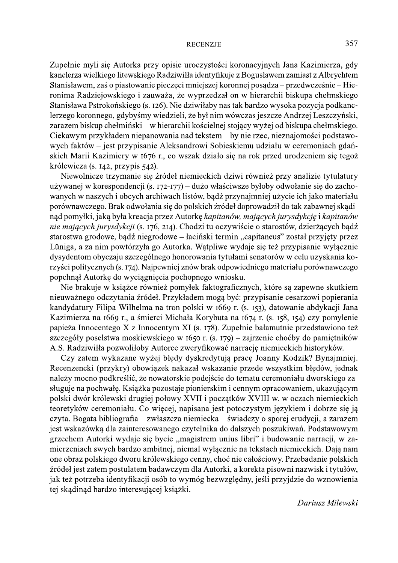Zupełnie myli się Autorka przy opisie uroczystości koronacyjnych Jana Kazimierza, gdy kanclerza wielkiego litewskiego Radziwiłła identyfikuje z Bogusławem zamiast z Albrychtem Stanisławem, zaś o piastowanie pieczęci mniejszej koronnej posadza – przedwcześnie – Hieronima Radziejowskiego i zauważa, że wyprzedzał on w hierarchii biskupa chełmskiego Stanisława Pstrokońskiego (s. 126). Nie dziwiłaby nas tak bardzo wysoka pozycja podkanclerzego koronnego, gdybyśmy wiedzieli, że był nim wówczas jeszcze Andrzej Leszczyński, zarazem biskup chełmiński – w hierarchii kościelnej stojący wyżej od biskupa chełmskiego. Ciekawym przykładem niepanowania nad tekstem – by nie rzec, nieznajomości podstawowych faktów – jest przypisanie Aleksandrowi Sobieskiemu udziału w ceremoniach gdańskich Marii Kazimiery w 1676 r., co wszak działo się na rok przed urodzeniem się tegoż królewicza (s. 142, przypis 542).

Niewolnicze trzymanie się źródeł niemieckich dziwi również przy analizie tytulatury używanej w korespondencji (s. 172-177) – dużo właściwsze byłoby odwołanie się do zachowanych w naszych i obcych archiwach listów, bądź przynajmniej użycie ich jako materiału porównawczego. Brak odwołania się do polskich źródeł doprowadził do tak zabawnej skądinąd pomyłki, jaką była kreacja przez Autorkę kapitanów, mających jurysdykcję i kapitanów nie mających jurysdykcji (s. 176, 214). Chodzi tu oczywiście o starostów, dzierżących bądź starostwa grodowe, bądź niegrodowe – łaciński termin "capitaneus" został przyjęty przez Lüniga, a za nim powtórzyła go Autorka. Wątpliwe wydaje się też przypisanie wyłącznie dysydentom obyczaju szczególnego honorowania tytułami senatorów w celu uzyskania korzyści politycznych (s. 174). Najpewniej znów brak odpowiedniego materiału porównawczego popchnął Autorkę do wyciągnięcia pochopnego wniosku.

Nie brakuje w książce również pomyłek faktograficznych, które są zapewne skutkiem nieuważnego odczytania źródeł. Przykładem mogą być: przypisanie cesarzowi popierania kandydatury Filipa Wilhelma na tron polski w 1669 r. (s. 153), datowanie abdykacji Jana Kazimierza na 1669 r., a śmierci Michała Korybuta na 1674 r. (s. 158, 154) czy pomylenie papieża Innocentego X z Innocentym XI (s. 178). Zupełnie bałamutnie przedstawiono też szczegóły poselstwa moskiewskiego w 1650 r. (s. 179) – zajrzenie choćby do pamiętników A.S. Radziwiłła pozwoliłoby Autorce zweryfikować narrację niemieckich historyków.

Czy zatem wykazane wyżej błędy dyskredytują pracę Joanny Kodzik? Bynajmniej. Recenzencki (przykry) obowiązek nakazał wskazanie przede wszystkim błędów, jednak należy mocno podkreślić, że nowatorskie podejście do tematu ceremoniału dworskiego zasługuje na pochwałę. Książka pozostaje pionierskim i cennym opracowaniem, ukazującym polski dwór królewski drugiej połowy XVII i początków XVIII w. w oczach niemieckich teoretyków ceremoniału. Co więcej, napisana jest potoczystym językiem i dobrze się ją czyta. Bogata bibliografia – zwłaszcza niemiecka – świadczy o sporej erudycji, a zarazem jest wskazówką dla zainteresowanego czytelnika do dalszych poszukiwań. Podstawowym grzechem Autorki wydaje się bycie "magistrem unius libri" i budowanie narracji, w zamierzeniach swych bardzo ambitnej, niemal wyłącznie na tekstach niemieckich. Dają nam one obraz polskiego dworu królewskiego cenny, choć nie całościowy. Przebadanie polskich źródeł jest zatem postulatem badawczym dla Autorki, a korekta pisowni nazwisk i tytułów, jak też potrzeba identyfikacji osób to wymóg bezwzględny, jeśli przyjdzie do wznowienia tej skądinąd bardzo interesującej książki.

Dariusz Milewski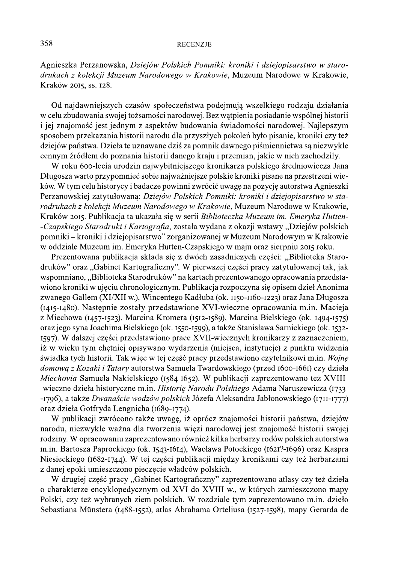Agnieszka Perzanowska, Dziejów Polskich Pomniki: kroniki i dziejopisarstwo w starodrukach z kolekcji Muzeum Narodowego w Krakowie, Muzeum Narodowe w Krakowie, Kraków 2015, ss. 128.

Od najdawniejszych czasów społeczeństwa podejmują wszelkiego rodzaju działania w celu zbudowania swojej tożsamości narodowej. Bez watpienia posiadanie wspólnej historii i jej znajomość jest jednym z aspektów budowania świadomości narodowej. Najlepszym sposobem przekazania historii narodu dla przyszłych pokoleń było pisanie, kroniki czy też dziejów państwa. Dzieła te uznawane dziś za pomnik dawnego piśmiennictwa są niezwykle cennym źródłem do poznania historii danego kraju i przemian, jakie w nich zachodziły.

W roku 600-lecia urodzin najwybitniejszego kronikarza polskiego średniowiecza Jana Długosza warto przypomnieć sobie najważniejsze polskie kroniki pisane na przestrzeni wieków. W tym celu historycy i badacze powinni zwrócić uwagę na pozycję autorstwa Agnieszki Perzanowskiej zatytułowaną: Dziejów Polskich Pomniki: kroniki i dziejopisarstwo w starodrukach z kolekcji Muzeum Narodowego w Krakowie, Muzeum Narodowe w Krakowie, Kraków 2015. Publikacja ta ukazała się w serii Biblioteczka Muzeum im. Emeryka Hutten--Czapskiego Starodruki i Kartografia, została wydana z okazji wstawy "Dziejów polskich pomniki – kroniki i dziejopisarstwo" zorganizowanej w Muzeum Narodowym w Krakowie w oddziale Muzeum im. Emeryka Hutten-Czapskiego w maju oraz sierpniu 2015 roku.

Prezentowana publikacja składa się z dwóch zasadniczych części: "Biblioteka Starodruków" oraz "Gabinet Kartograficzny". W pierwszej części pracy zatytułowanej tak, jak wspomniano, "Biblioteka Starodruków" na kartach prezentowanego opracowania przedstawiono kroniki w ujęciu chronologicznym. Publikacja rozpoczyna się opisem dzieł Anonima zwanego Gallem (XI/XII w.), Wincentego Kadłuba (ok. 1150-1160-1223) oraz Jana Długosza (1415-1480). Następnie zostały przedstawione XVI-wieczne opracowania m.in. Macieja z Miechowa (1457-1523), Marcina Kromera (1512-1589), Marcina Bielskiego (ok. 1494-1575) oraz jego syna Joachima Bielskiego (ok. 1550-1599), a także Stanisława Sarnickiego (ok. 1532-1597). W dalszej części przedstawiono prace XVII-wiecznych kronikarzy z zaznaczeniem, iż w wieku tym chętniej opisywano wydarzenia (miejsca, instytucje) z punktu widzenia świadka tych historii. Tak więc w tej część pracy przedstawiono czytelnikowi m.in. Wojnę domową z Kozaki i Tatary autorstwa Samuela Twardowskiego (przed 1600-1661) czy dzieła Miechovia Samuela Nakielskiego (1584-1652). W publikacji zaprezentowano też XVIII--wieczne dzieła historyczne m.in. Historię Narodu Polskiego Adama Naruszewicza (1733--1796), a także Dwanaście wodzów polskich Józefa Aleksandra Jabłonowskiego (1711-1777) oraz dzieła Gotfryda Lengnicha (1689-1774).

W publikacji zwrócono także uwagę, iż oprócz znajomości historii państwa, dziejów narodu, niezwykle ważna dla tworzenia więzi narodowej jest znajomość historii swojej rodziny. W opracowaniu zaprezentowano również kilka herbarzy rodów polskich autorstwa m.in. Bartosza Paprockiego (ok. 1543-1614), Wacława Potockiego (1621?-1696) oraz Kaspra Niesieckiego (1682-1744). W tej części publikacji między kronikami czy też herbarzami z danej epoki umieszczono pieczęcie władców polskich.

W drugiej część pracy "Gabinet Kartograficzny" zaprezentowano atlasy czy też dzieła o charakterze encyklopedycznym od XVI do XVIII w., w których zamieszczono mapy Polski, czy też wybranych ziem polskich. W rozdziale tym zaprezentowano m.in. dzieło Sebastiana Münstera (1488-1552), atlas Abrahama Orteliusa (1527-1598), mapy Gerarda de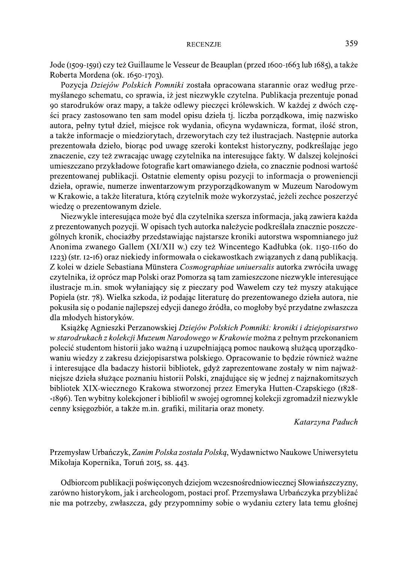Jode (1509-1591) czy też Guillaume le Vesseur de Beauplan (przed 1600-1663 lub 1685), a także Roberta Mordena (ok. 1650-1703).

Pozycja Dziejów Polskich Pomniki została opracowana starannie oraz według przemyślanego schematu, co sprawia, iż jest niezwykle czytelna. Publikacja prezentuje ponad 90 starodruków oraz mapy, a także odlewy pieczęci królewskich. W każdej z dwóch części pracy zastosowano ten sam model opisu dzieła tj. liczba porządkowa, imię nazwisko autora, pełny tytuł dzieł, miejsce rok wydania, oficyna wydawnicza, format, ilość stron, a także informacje o miedziorytach, drzeworytach czy też ilustracjach. Następnie autorka prezentowała dzieło, biorąc pod uwagę szeroki kontekst historyczny, podkreślając jego znaczenie, czy też zwracając uwagę czytelnika na interesujące fakty. W dalszej kolejności umieszczano przykładowe fotografie kart omawianego dzieła, co znacznie podnosi wartość prezentowanej publikacji. Ostatnie elementy opisu pozycji to informacja o proweniencji dzieła, oprawie, numerze inwentarzowym przyporządkowanym w Muzeum Narodowym w Krakowie, a także literatura, którą czytelnik może wykorzystać, jeżeli zechce poszerzyć wiedzę o prezentowanym dziele.

Niezwykle interesująca może być dla czytelnika szersza informacja, jaką zawiera każda z prezentowanych pozycji. W opisach tych autorka należycie podkreślała znacznie poszczególnych kronik, chociażby przedstawiając najstarsze kroniki autorstwa wspomnianego już Anonima zwanego Gallem (XI/XII w.) czy też Wincentego Kadłubka (ok. 1150-1160 do 1223) (str. 12-16) oraz niekiedy informowała o ciekawostkach związanych z daną publikacją. Z kolei w dziele Sebastiana Münstera Cosmographiae uniuersalis autorka zwróciła uwagę czytelnika, iż oprócz map Polski oraz Pomorza są tam zamieszczone niezwykle interesujące ilustracje m.in. smok wyłaniający się z pieczary pod Wawelem czy też myszy atakujące Popiela (str. 78). Wielka szkoda, iż podając literaturę do prezentowanego dzieła autora, nie pokusiła się o podanie najlepszej edycji danego źródła, co mogłoby być przydatne zwłaszcza dla młodych historyków.

Książkę Agnieszki Perzanowskiej Dziejów Polskich Pomniki: kroniki i dziejopisarstwo w starodrukach z kolekcji Muzeum Narodowego w Krakowie można z pełnym przekonaniem polecić studentom historii jako ważną i uzupełniającą pomoc naukową służącą uporządkowaniu wiedzy z zakresu dziejopisarstwa polskiego. Opracowanie to będzie również ważne i interesujące dla badaczy historii bibliotek, gdyż zaprezentowane zostały w nim najważniejsze dzieła służące poznaniu historii Polski, znajdujące się w jednej z najznakomitszych bibliotek XIX-wiecznego Krakowa stworzonej przez Emeryka Hutten-Czapskiego (1828--1896). Ten wybitny kolekcjoner i bibliofil w swojej ogromnej kolekcji zgromadził niezwykle cenny księgozbiór, a także m.in. grafiki, militaria oraz monety.

Katarzyna Paduch

Przemysław Urbańczyk, Zanim Polska została Polską, Wydawnictwo Naukowe Uniwersytetu Mikołaja Kopernika, Toruń 2015, ss. 443.

Odbiorcom publikacji poświęconych dziejom wczesnośredniowiecznej Słowiańszczyzny, zarówno historykom, jak i archeologom, postaci prof. Przemysława Urbańczyka przybliżać nie ma potrzeby, zwłaszcza, gdy przypomnimy sobie o wydaniu cztery lata temu głośnej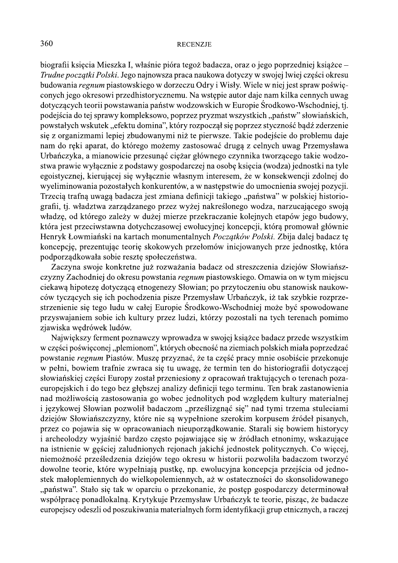biografii księcia Mieszka I, właśnie pióra tegoż badacza, oraz o jego poprzedniej książce – Trudne początki Polski. Jego najnowsza praca naukowa dotyczy w swojej lwiej części okresu budowania *regnum* piastowskiego w dorzeczu Odry i Wisły. Wiele w niej jest spraw poświeconych jego okresowi przedhistorycznemu. Na wstępie autor daje nam kilka cennych uwag dotyczących teorii powstawania państw wodzowskich w Europie Środkowo-Wschodniej, tj. podejścia do tej sprawy kompleksowo, poprzez pryzmat wszystkich, "państw" słowiańskich, powstałych wskutek "efektu domina", który rozpoczął się poprzez styczność bądź zderzenie się z organizmami lepiej zbudowanymi niż te pierwsze. Takie podejście do problemu daje nam do reki aparat, do którego możemy zastosować drugą z celnych uwag Przemysława Urbańczyka, a mianowicie przesunąć ciężar głównego czynnika tworzącego takie wodzostwa prawie wyłącznie z podstawy gospodarczej na osobę księcia (wodza) jednostki na tyle egoistycznej, kierującej się wyłącznie własnym interesem, że w konsekwencji zdolnej do wyeliminowania pozostałych konkurentów, a w następstwie do umocnienia swojej pozycji. Trzecią trafną uwagą badacza jest zmiana definicji takiego "państwa" w polskiej historiografii, tj. władztwa zarządzanego przez wyżej nakreślonego wodza, narzucającego swoją władzę, od którego zależy w dużej mierze przekraczanie kolejnych etapów jego budowy, która jest przeciwstawna dotychczasowej ewolucyjnej koncepcji, którą promował głównie Henryk Łowmiański na kartach monumentalnych Początków Polski. Zbija dalej badacz tę koncepcję, prezentując teorię skokowych przełomów inicjowanych prze jednostkę, która podporządkowała sobie resztę społeczeństwa.

Zaczyna swoje konkretne już rozważania badacz od streszczenia dziejów Słowiańszczyzny Zachodniej do okresu powstania regnum piastowskiego. Omawia on w tym miejscu ciekawą hipotezę dotyczącą etnogenezy Słowian; po przytoczeniu obu stanowisk naukowców tyczących się ich pochodzenia pisze Przemysław Urbańczyk, iż tak szybkie rozprzestrzenienie się tego ludu w całej Europie Środkowo-Wschodniej może być spowodowane przyswajaniem sobie ich kultury przez ludzi, którzy pozostali na tych terenach pomimo zjawiska wędrówek ludów.

Największy ferment poznawczy wprowadza w swojej książce badacz przede wszystkim w części poświęconej "plemionom", których obecność na ziemiach polskich miała poprzedzać powstanie regnum Piastów. Muszę przyznać, że ta część pracy mnie osobiście przekonuje w pełni, bowiem trafnie zwraca się tu uwagę, że termin ten do historiografii dotyczącej słowiańskiej części Europy został przeniesiony z opracowań traktujących o terenach pozaeuropejskich i do tego bez głębszej analizy definicji tego terminu. Ten brak zastanowienia nad możliwością zastosowania go wobec jednolitych pod względem kultury materialnej i językowej Słowian pozwolił badaczom "prześlizgnąć się" nad tymi trzema stuleciami dziejów Słowiańszczyzny, które nie są wypełnione szerokim korpusem źródeł pisanych, przez co pojawia się w opracowaniach nieuporządkowanie. Starali się bowiem historycy i archeolodzy wyjaśnić bardzo często pojawiające się w źródłach etnonimy, wskazujące na istnienie w gęściej zaludnionych rejonach jakichś jednostek politycznych. Co więcej, niemożność prześledzenia dziejów tego okresu w historii pozwoliła badaczom tworzyć dowolne teorie, które wypełniają pustkę, np. ewolucyjna koncepcja przejścia od jednostek małoplemiennych do wielkopolemiennych, aż w ostateczności do skonsolidowanego "państwa". Stało się tak w oparciu o przekonanie, że postęp gospodarczy determinował współpracę ponadlokalną. Krytykuje Przemysław Urbańczyk te teorie, pisząc, że badacze europejscy odeszli od poszukiwania materialnych form identyfikacji grup etnicznych, a raczej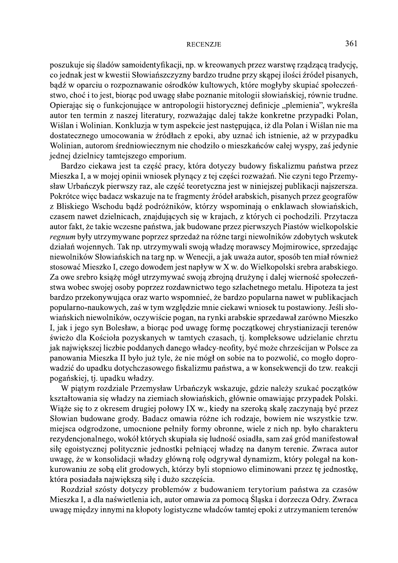poszukuje się śladów samoidentyfikacji, np. w kreowanych przez warstwę rządzącą tradycję, co jednak jest w kwestii Słowiańszczyzny bardzo trudne przy skąpej ilości źródeł pisanych, bądź w oparciu o rozpoznawanie ośrodków kultowych, które mogłyby skupiać społeczeństwo, choć i to jest, biorąc pod uwagę słabe poznanie mitologii słowiańskiej, równie trudne. Opierając się o funkcjonujące w antropologii historycznej definicje "plemienia", wykreśla autor ten termin z naszej literatury, rozważając dalej także konkretne przypadki Polan, Wiślan i Wolinian. Konkluzja w tym aspekcie jest następująca, iż dla Polan i Wiślan nie ma dostatecznego umocowania w źródłach z epoki, aby uznać ich istnienie, aż w przypadku Wolinian, autorom średniowiecznym nie chodziło o mieszkańców całej wyspy, zaś jedynie jednej dzielnicy tamtejszego emporium.

Bardzo ciekawa jest ta część pracy, która dotyczy budowy fiskalizmu państwa przez Mieszka I, a w mojej opinii wniosek płynący z tej części rozważań. Nie czyni tego Przemysław Urbańczyk pierwszy raz, ale część teoretyczna jest w niniejszej publikacji najszersza. Pokrótce więc badacz wskazuje na te fragmenty źródeł arabskich, pisanych przez geografów z Bliskiego Wschodu bądź podróżników, którzy wspominają o enklawach słowiańskich, czasem nawet dzielnicach, znajdujących się w krajach, z których ci pochodzili. Przytacza autor fakt, że takie wczesne państwa, jak budowane przez pierwszych Piastów wielkopolskie regnum były utrzymywane poprzez sprzedaż na różne targi niewolników zdobytych wskutek działań wojennych. Tak np. utrzymywali swoją władzę morawscy Mojmirowice, sprzedając niewolników Słowiańskich na targ np. w Wenecji, a jak uważa autor, sposób ten miał również stosować Mieszko I, czego dowodem jest napływ w X w. do Wielkopolski srebra arabskiego. Za owe srebro książę mógł utrzymywać swoją zbrojną drużynę i dalej wierność społeczeństwa wobec swojej osoby poprzez rozdawnictwo tego szlachetnego metalu. Hipoteza ta jest bardzo przekonywująca oraz warto wspomnieć, że bardzo popularna nawet w publikacjach popularno-naukowych, zaś w tym względzie mnie ciekawi wniosek tu postawiony. Jeśli słowiańskich niewolników, oczywiście pogan, na rynki arabskie sprzedawał zarówno Mieszko I, jak i jego syn Bolesław, a biorąc pod uwagę formę początkowej chrystianizacji terenów świeżo dla Kościoła pozyskanych w tamtych czasach, tj. kompleksowe udzielanie chrztu jak największej liczbie poddanych danego władcy-neofity, być może chrześcijan w Polsce za panowania Mieszka II było już tyle, że nie mógł on sobie na to pozwolić, co mogło doprowadzić do upadku dotychczasowego fiskalizmu państwa, a w konsekwencji do tzw. reakcji pogańskiej, tj. upadku władzy.

W piątym rozdziale Przemysław Urbańczyk wskazuje, gdzie należy szukać początków kształtowania się władzy na ziemiach słowiańskich, głównie omawiając przypadek Polski. Wiąże się to z okresem drugiej połowy IX w., kiedy na szeroką skalę zaczynają być przez Słowian budowane grody. Badacz omawia różne ich rodzaje, bowiem nie wszystkie tzw. miejsca odgrodzone, umocnione pełniły formy obronne, wiele z nich np. było charakteru rezydencjonalnego, wokół których skupiała się ludność osiadła, sam zaś gród manifestował siłę egoistycznej politycznie jednostki pełniącej władzę na danym terenie. Zwraca autor uwagę, że w konsolidacji władzy główną rolę odgrywał dynamizm, który polegał na konkurowaniu ze sobą elit grodowych, którzy byli stopniowo eliminowani przez tę jednostkę, która posiadała największą siłę i dużo szczęścia.

Rozdział szósty dotyczy problemów z budowaniem terytorium państwa za czasów Mieszka I, a dla naświetlenia ich, autor omawia za pomocą Śląska i dorzecza Odry. Zwraca uwagę między innymi na kłopoty logistyczne władców tamtej epoki z utrzymaniem terenów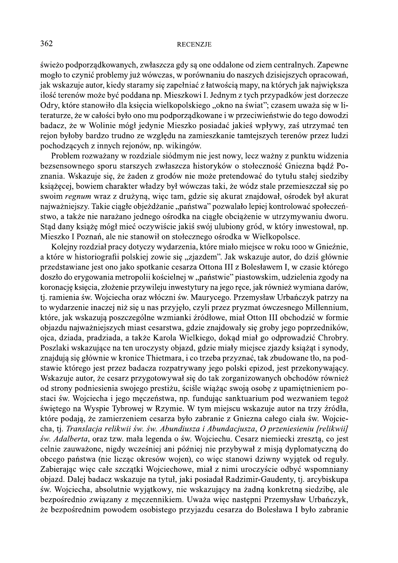świeżo podporządkowanych, zwłaszcza gdy są one oddalone od ziem centralnych. Zapewne mogło to czynić problemy już wówczas, w porównaniu do naszych dzisiejszych opracowań, jak wskazuje autor, kiedy staramy się zapełniać z łatwością mapy, na których jak największa ilość terenów może być poddana np. Mieszkowi I. Jednym z tych przypadków jest dorzecze Odry, które stanowiło dla księcia wielkopolskiego "okno na świat"; czasem uważa się w literaturze, że w całości było ono mu podporządkowane i w przeciwieństwie do tego dowodzi badacz, że w Wolinie mógł jedynie Mieszko posiadać jakieś wpływy, zaś utrzymać ten rejon byłoby bardzo trudno ze względu na zamieszkanie tamtejszych terenów przez ludzi pochodzących z innych rejonów, np. wikingów.

Problem rozważany w rozdziale siódmym nie jest nowy, lecz ważny z punktu widzenia bezsensownego sporu starszych zwłaszcza historyków o stołeczność Gniezna bądź Poznania. Wskazuje się, że żaden z grodów nie może pretendować do tytułu stałej siedziby książęcej, bowiem charakter władzy był wówczas taki, że wódz stale przemieszczał się po swoim regnum wraz z drużyną, więc tam, gdzie się akurat znajdował, ośrodek był akurat najważniejszy. Takie ciągłe objeżdżanie "państwa" pozwalało lepiej kontrolować społeczeństwo, a także nie narażano jednego ośrodka na ciągłe obciążenie w utrzymywaniu dworu. Stąd dany książę mógł mieć oczywiście jakiś swój ulubiony gród, w który inwestował, np. Mieszko I Poznań, ale nie stanowił on stołecznego ośrodka w Wielkopolsce.

Kolejny rozdział pracy dotyczy wydarzenia, które miało miejsce w roku 1000 w Gnieźnie, a które w historiografii polskiej zowie się "zjazdem". Jak wskazuje autor, do dziś głównie przedstawiane jest ono jako spotkanie cesarza Ottona III z Bolesławem I, w czasie którego doszło do erygowania metropolii kościelnej w "państwie" piastowskim, udzielenia zgody na koronację księcia, złożenie przywileju inwestytury na jego ręce, jak również wymiana darów, tj. ramienia św. Wojciecha oraz włóczni św. Maurycego. Przemysław Urbańczyk patrzy na to wydarzenie inaczej niż się u nas przyjęło, czyli przez pryzmat ówczesnego Millennium, które, jak wskazują poszczególne wzmianki źródłowe, miał Otton III obchodzić w formie objazdu najważniejszych miast cesarstwa, gdzie znajdowały się groby jego poprzedników, ojca, dziada, pradziada, a także Karola Wielkiego, dokąd miał go odprowadzić Chrobry. Poszlaki wskazujące na ten uroczysty objazd, gdzie miały miejsce zjazdy książąt i synody, znajdują się głównie w kronice Thietmara, i co trzeba przyznać, tak zbudowane tło, na podstawie którego jest przez badacza rozpatrywany jego polski epizod, jest przekonywający. Wskazuje autor, że cesarz przygotowywał się do tak zorganizowanych obchodów również od strony podniesienia swojego prestiżu, ściśle wiążąc swoją osobę z upamiętnieniem postaci św. Wojciecha i jego męczeństwa, np. fundując sanktuarium pod wezwaniem tegoż świętego na Wyspie Tybrowej w Rzymie. W tym miejscu wskazuje autor na trzy źródła, które podają, że zamierzeniem cesarza było zabranie z Gniezna całego ciała św. Wojciecha, tj. Translacja relikwii św. św. Abundiusza i Abundacjusza, O przeniesieniu [relikwii] św. Adalberta, oraz tzw. mała legenda o św. Wojciechu. Cesarz niemiecki zresztą, co jest celnie zauważone, nigdy wcześniej ani później nie przybywał z misją dyplomatyczną do obcego państwa (nie licząc okresów wojen), co więc stanowi dziwny wyjątek od reguły. Zabierając więc całe szczątki Wojciechowe, miał z nimi uroczyście odbyć wspomniany objazd. Dalej badacz wskazuje na tytuł, jaki posiadał Radzimir-Gaudenty, tj. arcybiskupa św. Wojciecha, absolutnie wyjątkowy, nie wskazujący na żadną konkretną siedzibę, ale bezpośrednio związany z męczennikiem. Uważa więc następni Przemysław Urbańczyk, że bezpośrednim powodem osobistego przyjazdu cesarza do Bolesława I było zabranie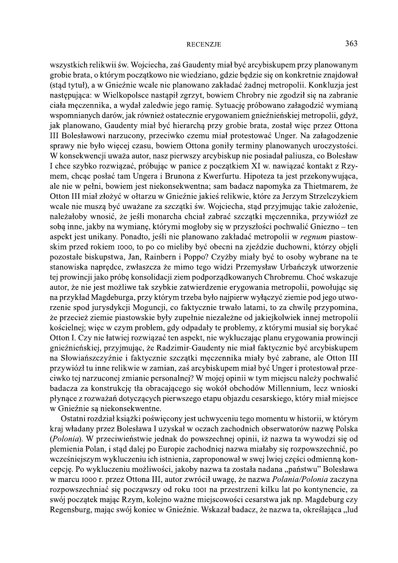wszystkich relikwii św. Wojciecha, zaś Gaudenty miał być arcybiskupem przy planowanym grobie brata, o którym początkowo nie wiedziano, gdzie będzie się on konkretnie znajdował (stad tytuł), a w Gnieźnie wcale nie planowano zakładać żadnej metropolii. Konkluzja jest następująca: w Wielkopolsce nastąpił zgrzyt, bowiem Chrobry nie zgodził się na zabranie ciała męczennika, a wydał zaledwie jego ramię. Sytuację próbowano załagodzić wymianą wspomnianych darów, jak również ostatecznie erygowaniem gnieźnieńskiej metropolii, gdyż, jak planowano, Gaudenty miał być hierarchą przy grobie brata, został więc przez Ottona III Bolesławowi narzucony, przeciwko czemu miał protestować Unger. Na załagodzenie sprawy nie było więcej czasu, bowiem Ottona goniły terminy planowanych uroczystości. W konsekwencji uważa autor, nasz pierwszy arcybiskup nie posiadał paliusza, co Bolesław I chce szybko rozwiązać, próbując w panice z początkiem XI w. nawiązać kontakt z Rzymem, chcąc posłać tam Ungera i Brunona z Kwerfurtu. Hipoteza ta jest przekonywująca, ale nie w pełni, bowiem jest niekonsekwentna; sam badacz napomyka za Thietmarem, że Otton III miał złożyć w ołtarzu w Gnieźnie jakieś relikwie, które za Jerzym Strzelczykiem wcale nie muszą być uważane za szczątki św. Wojciecha, stąd przyjmując takie założenie, należałoby wnosić, że jeśli monarcha chciał zabrać szczątki męczennika, przywiózł ze sobą inne, jakby na wymianę, którymi mogłoby się w przyszłości pochwalić Gniezno – ten aspekt jest unikany. Ponadto, jeśli nie planowano zakładać metropolii w regnum piastowskim przed rokiem 1000, to po co mieliby być obecni na zjeździe duchowni, którzy objęli pozostałe biskupstwa, Jan, Rainbern i Poppo? Czyżby miały być to osoby wybrane na te stanowiska naprędce, zwłaszcza że mimo tego widzi Przemysław Urbańczyk utworzenie tej prowincji jako próbę konsolidacji ziem podporządkowanych Chrobremu. Choć wskazuje autor, że nie jest możliwe tak szybkie zatwierdzenie erygowania metropolii, powołując się na przykład Magdeburga, przy którym trzeba było najpierw wyłączyć ziemie pod jego utworzenie spod jurysdykcji Moguncji, co faktycznie trwało latami, to za chwilę przypomina, że przecież ziemie piastowskie były zupełnie niezależne od jakiejkolwiek innej metropolii kościelnej; więc w czym problem, gdy odpadały te problemy, z którymi musiał się borykać Otton I. Czy nie łatwiej rozwiązać ten aspekt, nie wykluczając planu erygowania prowincji gnieźnieńskiej, przyjmując, że Radzimir-Gaudenty nie miał faktycznie być arcybiskupem na Słowiańszczyźnie i faktycznie szczątki męczennika miały być zabrane, ale Otton III przywiózł tu inne relikwie w zamian, zaś arcybiskupem miał być Unger i protestował przeciwko tej narzuconej zmianie personalnej? W mojej opinii w tym miejscu należy pochwalić badacza za konstrukcję tła obracającego się wokół obchodów Millennium, lecz wnioski płynące z rozważań dotyczących pierwszego etapu objazdu cesarskiego, który miał miejsce w Gnieźnie są niekonsekwentne.

Ostatni rozdział książki poświęcony jest uchwyceniu tego momentu w historii, w którym kraj władany przez Bolesława I uzyskał w oczach zachodnich obserwatorów nazwę Polska (Polonia). W przeciwieństwie jednak do powszechnej opinii, iż nazwa ta wywodzi się od plemienia Polan, i stąd dalej po Europie zachodniej nazwa miałaby się rozpowszechnić, po wcześniejszym wykluczeniu ich istnienia, zaproponował w swej lwiej części odmienną koncepcję. Po wykluczeniu możliwości, jakoby nazwa ta została nadana "państwu" Bolesława w marcu 1000 r. przez Ottona III, autor zwrócił uwagę, że nazwa Polania/Polonia zaczyna rozpowszechniać się począwszy od roku 1001 na przestrzeni kilku lat po kontynencie, za swój początek mając Rzym, kolejno ważne miejscowości cesarstwa jak np. Magdeburg czy Regensburg, mając swój koniec w Gnieźnie. Wskazał badacz, że nazwa ta, określająca "lud